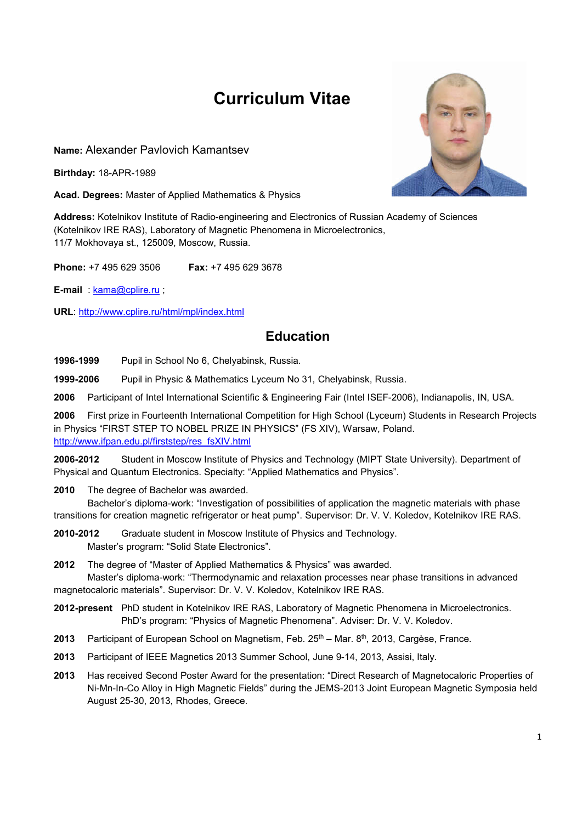# Curriculum Vitae

Name: Alexander Pavlovich Kamantsev

Birthday: 18-APR-1989

Acad. Degrees: Master of Applied Mathematics & Physics

Address: Kotelnikov Institute of Radio-engineering and Electronics of Russian Academy of Sciences (Kotelnikov IRE RAS), Laboratory of Magnetic Phenomena in Microelectronics, 11/7 Mokhovaya st., 125009, Moscow, Russia.

Phone: +7 495 629 3506 Fax: +7 495 629 3678

E-mail : kama@cplire.ru ;

URL: http://www.cplire.ru/html/mpl/index.html

## Education

1996-1999 Pupil in School No 6, Chelyabinsk, Russia.

1999-2006 Pupil in Physic & Mathematics Lyceum No 31, Chelyabinsk, Russia.

2006 Participant of Intel International Scientific & Engineering Fair (Intel ISEF-2006), Indianapolis, IN, USA.

2006 First prize in Fourteenth International Competition for High School (Lyceum) Students in Research Projects in Physics "FIRST STEP TO NOBEL PRIZE IN PHYSICS" (FS XIV), Warsaw, Poland. http://www.ifpan.edu.pl/firststep/res\_fsXIV.html

2006-2012 Student in Moscow Institute of Physics and Technology (MIPT State University). Department of Physical and Quantum Electronics. Specialty: "Applied Mathematics and Physics".

2010 The degree of Bachelor was awarded.

Bachelor's diploma-work: "Investigation of possibilities of application the magnetic materials with phase transitions for creation magnetic refrigerator or heat pump". Supervisor: Dr. V. V. Koledov, Kotelnikov IRE RAS.

- 2010-2012 Graduate student in Moscow Institute of Physics and Technology. Master's program: "Solid State Electronics".
- 2012 The degree of "Master of Applied Mathematics & Physics" was awarded. Master's diploma-work: "Thermodynamic and relaxation processes near phase transitions in advanced

magnetocaloric materials". Supervisor: Dr. V. V. Koledov, Kotelnikov IRE RAS.

- 2012-present PhD student in Kotelnikov IRE RAS, Laboratory of Magnetic Phenomena in Microelectronics. PhD's program: "Physics of Magnetic Phenomena". Adviser: Dr. V. V. Koledov.
- 2013 Participant of European School on Magnetism, Feb.  $25<sup>th</sup>$  Mar.  $8<sup>th</sup>$ , 2013, Cargèse, France.
- 2013 Participant of IEEE Magnetics 2013 Summer School, June 9-14, 2013, Assisi, Italy.
- 2013 Has received Second Poster Award for the presentation: "Direct Research of Magnetocaloric Properties of Ni-Mn-In-Co Alloy in High Magnetic Fields" during the JEMS-2013 Joint European Magnetic Symposia held August 25-30, 2013, Rhodes, Greece.

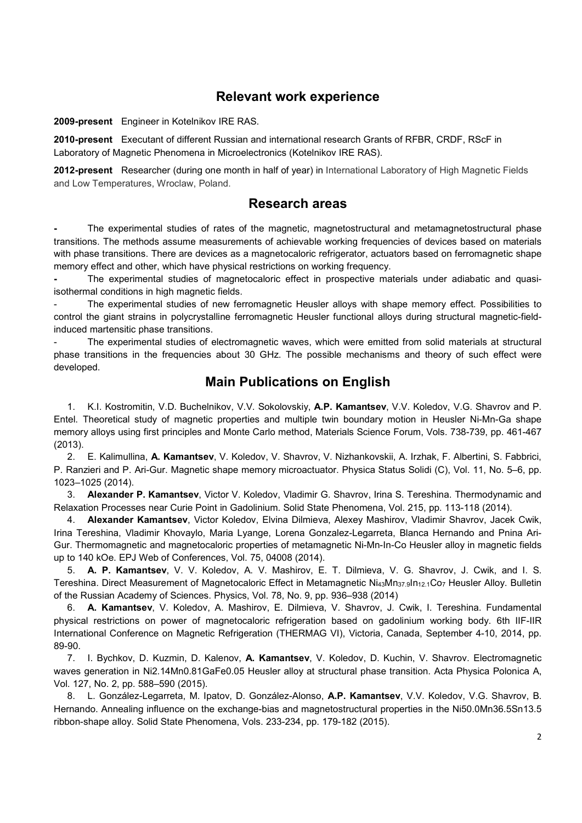### Relevant work experience

2009-present Engineer in Kotelnikov IRE RAS.

2010-present Executant of different Russian and international research Grants of RFBR, CRDF, RScF in Laboratory of Magnetic Phenomena in Microelectronics (Kotelnikov IRE RAS).

2012-present Researcher (during one month in half of year) in International Laboratory of High Magnetic Fields and Low Temperatures, Wroclaw, Poland.

#### Research areas

The experimental studies of rates of the magnetic, magnetostructural and metamagnetostructural phase transitions. The methods assume measurements of achievable working frequencies of devices based on materials with phase transitions. There are devices as a magnetocaloric refrigerator, actuators based on ferromagnetic shape memory effect and other, which have physical restrictions on working frequency.

The experimental studies of magnetocaloric effect in prospective materials under adiabatic and quasiisothermal conditions in high magnetic fields.

The experimental studies of new ferromagnetic Heusler alloys with shape memory effect. Possibilities to control the giant strains in polycrystalline ferromagnetic Heusler functional alloys during structural magnetic-fieldinduced martensitic phase transitions.

The experimental studies of electromagnetic waves, which were emitted from solid materials at structural phase transitions in the frequencies about 30 GHz. The possible mechanisms and theory of such effect were developed.

#### Main Publications on English

1. K.I. Kostromitin, V.D. Buchelnikov, V.V. Sokolovskiy, A.P. Kamantsev, V.V. Koledov, V.G. Shavrov and P. Entel. Theoretical study of magnetic properties and multiple twin boundary motion in Heusler Ni-Mn-Ga shape memory alloys using first principles and Monte Carlo method, Materials Science Forum, Vols. 738-739, pp. 461-467 (2013).

2. E. Kalimullina, A. Kamantsev, V. Koledov, V. Shavrov, V. Nizhankovskii, A. Irzhak, F. Albertini, S. Fabbrici, P. Ranzieri and P. Ari-Gur. Magnetic shape memory microactuator. Physica Status Solidi (C), Vol. 11, No. 5–6, pp. 1023–1025 (2014).

3. Alexander P. Kamantsev, Victor V. Koledov, Vladimir G. Shavrov, Irina S. Tereshina. Thermodynamic and Relaxation Processes near Curie Point in Gadolinium. Solid State Phenomena, Vol. 215, pp. 113-118 (2014).

4. Alexander Kamantsev, Victor Koledov, Elvina Dilmieva, Alexey Mashirov, Vladimir Shavrov, Jacek Cwik, Irina Tereshina, Vladimir Khovaylo, Maria Lyange, Lorena Gonzalez-Legarreta, Blanca Hernando and Pnina Ari-Gur. Thermomagnetic and magnetocaloric properties of metamagnetic Ni-Mn-In-Co Heusler alloy in magnetic fields up to 140 kOe. EPJ Web of Conferences, Vol. 75, 04008 (2014).

5. A. P. Kamantsev, V. V. Koledov, A. V. Mashirov, E. T. Dilmieva, V. G. Shavrov, J. Cwik, and I. S. Tereshina. Direct Measurement of Magnetocaloric Effect in Metamagnetic Ni<sub>43</sub>Mn<sub>37.9</sub>In<sub>12.1</sub>Co<sub>7</sub> Heusler Alloy. Bulletin of the Russian Academy of Sciences. Physics, Vol. 78, No. 9, pp. 936–938 (2014)

6. A. Kamantsev, V. Koledov, A. Mashirov, E. Dilmieva, V. Shavrov, J. Cwik, I. Tereshina. Fundamental physical restrictions on power of magnetocaloric refrigeration based on gadolinium working body. 6th IIF-IIR International Conference on Magnetic Refrigeration (THERMAG VI), Victoria, Canada, September 4-10, 2014, pp. 89-90.

7. I. Bychkov, D. Kuzmin, D. Kalenov, A. Kamantsev, V. Koledov, D. Kuchin, V. Shavrov. Electromagnetic waves generation in Ni2.14Mn0.81GaFe0.05 Heusler alloy at structural phase transition. Acta Physica Polonica A, Vol. 127, No. 2, pp. 588–590 (2015).

8. L. González-Legarreta, M. Ipatov, D. González-Alonso, A.P. Kamantsev, V.V. Koledov, V.G. Shavrov, B. Hernando. Annealing influence on the exchange-bias and magnetostructural properties in the Ni50.0Mn36.5Sn13.5 ribbon-shape alloy. Solid State Phenomena, Vols. 233-234, pp. 179-182 (2015).